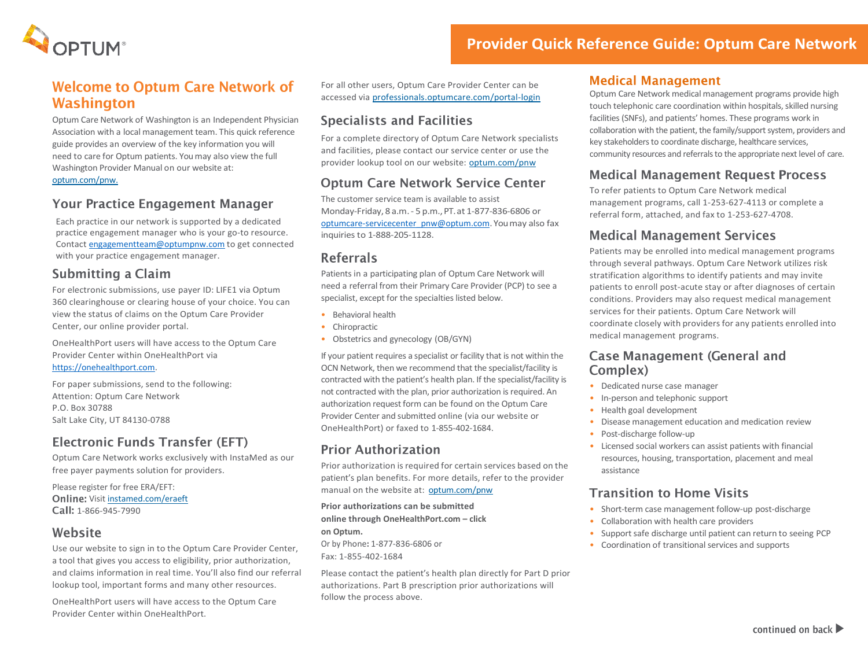

### **Welcome to Optum Care Network of Washington**

Optum Care Network of Washington is an Independent Physician Association with a local management team. This quick reference guide provides an overview of the key information you will need to care for Optum patients. You may also view the full Washington Provider Manual on our website at: optum.com/pnw.

#### **Your Practice Engagement Manager**

Each practice in our network is supported by a dedicated practice engagement manager who is your go-to resource. Contact [engagementteam@optumpnw.com](mailto:engagementteam@optumpnw.com) to get connected with your practice engagement manager.

#### **Submitting a Claim**

For electronic submissions, use payer ID: LIFE1 via Optum 360 clearinghouse or clearing house of your choice. You can view the status of claims on the Optum Care Provider Center, our online provider portal.

OneHealthPort users will have access to the Optum Care Provider Center within OneHealthPort via [https://onehealthport.com.](https://onehealthport.com/)

For paper submissions, send to the following: Attention: Optum Care Network P.O. Box 30788 Salt Lake City, UT 84130-0788

## **Electronic Funds Transfer (EFT)**

Optum Care Network works exclusively with InstaMed as our free payer payments solution for providers.

Please register for free ERA/EFT: Online: Visit instamed.com/eraeft Call: 1-866-945-7990

#### Website

Use our website to sign in to the Optum Care Provider Center, a tool that gives you access to eligibility, prior authorization, and claims information in real time. You'll also find our referral lookup tool, important forms and many other resources.

OneHealthPort users will have access to the Optum Care Provider Center within OneHealthPort.

For all other users, Optum Care Provider Center can be accessed via professionals.optumcare.com/portal-login

#### **Specialists and Facilities**

For a complete directory of Optum Care Network specialists and facilities, please contact our service center or use the provider lookup tool on our website: optum.com/pnw

### **Optum Care Network Service Center**

The customer service team is available to assist Monday-Friday, 8 a.m.- 5 p.m.,PT.at 1-877-836-6806 or [optumcare-servicecenter\\_pnw@optum.com.](mailto:optumcare-servicecenter_pnw@optum.com)Youmay also fax inquiries to 1-888-205-1128.

#### **Referrals**

Patients in a participating plan of Optum Care Network will need a referral from their Primary Care Provider (PCP) to see a specialist, except for the specialties listed below.

- Behavioral health
- Chiropractic
- Obstetrics and gynecology (OB/GYN)

If your patient requires a specialist or facility that is not within the OCN Network, then we recommend that the specialist/facility is contracted with the patient's health plan. If the specialist/facility is not contracted with the plan, prior authorization is required. An authorization request form can be found on the Optum Care Provider Center and submitted online (via our website or OneHealthPort) or faxed to 1-855-402-1684.

### **Prior Authorization**

Prior authorization is required for certain services based on the patient's plan benefits. For more details, refer to the provider manual on the website at: optum.com/pnw

**Prior authorizations can be submitted online through OneHealthPort.com – click** 

**on Optum.** Or by Phone**:** 1-877-836-6806 or

Fax: 1-855-402-1684

Please contact the patient's health plan directly for Part D prior authorizations. Part B prescription prior authorizations will follow the process above.

#### **Medical Management**

Optum Care Network medical management programs provide high touch telephonic care coordination within hospitals, skilled nursing facilities (SNFs), and patients' homes. These programs work in collaboration with the patient, the family/support system, providers and key stakeholders to coordinate discharge, healthcare services, community resources and referrals to the appropriate next level of care.

## **Medical Management Request Process**

To refer patients to Optum Care Network medical management programs, call 1-253-627-4113 or complete a referral form, attached, and fax to 1-253-627-4708.

### **Medical Management Services**

Patients may be enrolled into medical management programs through several pathways. Optum Care Network utilizes risk stratification algorithms to identify patients and may invite patients to enroll post-acute stay or after diagnoses of certain conditions. Providers may also request medical management services for their patients. Optum Care Network will coordinate closely with providers for any patients enrolled into medical management programs.

#### **Case Management (General and** Complex)

- Dedicated nurse case manager
- In-person and telephonic support
- Health goal development
- Disease management education and medication review
- Post-discharge follow-up
- Licensed social workers can assist patients with financial resources, housing, transportation, placement and meal assistance

## **Transition to Home Visits**

- Short-term case management follow-up post-discharge
- Collaboration with health care providers
- Support safe discharge until patient can return to seeing PCP
- Coordination of transitional services and supports